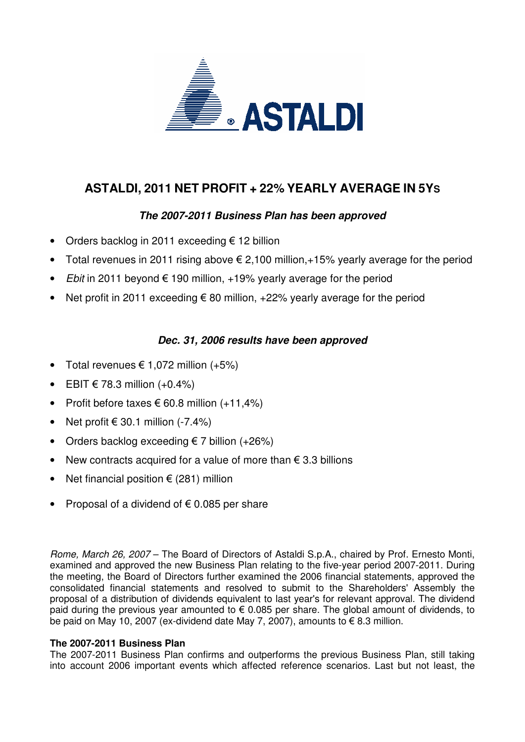

# **ASTALDI, 2011 NET PROFIT + 22% YEARLY AVERAGE IN 5YS**

## **The 2007-2011 Business Plan has been approved**

- Orders backlog in 2011 exceeding € 12 billion
- Total revenues in 2011 rising above € 2,100 million,  $+15%$  yearly average for the period
- *Ebit* in 2011 beyond  $\epsilon$  190 million, +19% yearly average for the period
- Net profit in 2011 exceeding € 80 million,  $+22\%$  yearly average for the period

### **Dec. 31, 2006 results have been approved**

- Total revenues  $\epsilon$  1.072 million  $(+5%)$
- EBIT  $€ 78.3$  million  $(+0.4%)$
- Profit before taxes  $\epsilon$  60.8 million  $(+11.4\%)$
- Net profit  $\in$  30.1 million (-7.4%)
- Orders backlog exceeding  $\epsilon$  7 billion (+26%)
- New contracts acquired for a value of more than  $\epsilon$  3.3 billions
- Net financial position  $\epsilon$  (281) million
- Proposal of a dividend of  $\epsilon$  0.085 per share

Rome, March 26, 2007 – The Board of Directors of Astaldi S.p.A., chaired by Prof. Ernesto Monti, examined and approved the new Business Plan relating to the five-year period 2007-2011. During the meeting, the Board of Directors further examined the 2006 financial statements, approved the consolidated financial statements and resolved to submit to the Shareholders' Assembly the proposal of a distribution of dividends equivalent to last year's for relevant approval. The dividend paid during the previous year amounted to  $\epsilon$  0.085 per share. The global amount of dividends, to be paid on May 10, 2007 (ex-dividend date May 7, 2007), amounts to € 8.3 million.

### **The 2007-2011 Business Plan**

The 2007-2011 Business Plan confirms and outperforms the previous Business Plan, still taking into account 2006 important events which affected reference scenarios. Last but not least, the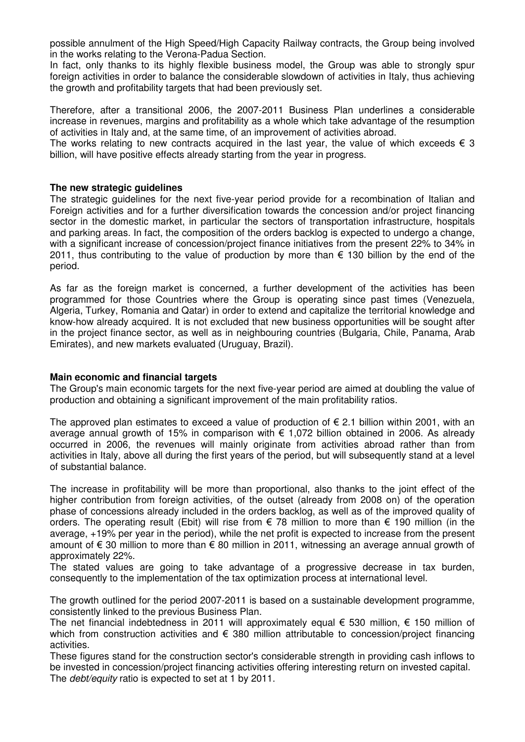possible annulment of the High Speed/High Capacity Railway contracts, the Group being involved in the works relating to the Verona-Padua Section.

In fact, only thanks to its highly flexible business model, the Group was able to strongly spur foreign activities in order to balance the considerable slowdown of activities in Italy, thus achieving the growth and profitability targets that had been previously set.

Therefore, after a transitional 2006, the 2007-2011 Business Plan underlines a considerable increase in revenues, margins and profitability as a whole which take advantage of the resumption of activities in Italy and, at the same time, of an improvement of activities abroad.

The works relating to new contracts acquired in the last year, the value of which exceeds  $\epsilon$  3 billion, will have positive effects already starting from the year in progress.

#### **The new strategic guidelines**

The strategic guidelines for the next five-year period provide for a recombination of Italian and Foreign activities and for a further diversification towards the concession and/or project financing sector in the domestic market, in particular the sectors of transportation infrastructure, hospitals and parking areas. In fact, the composition of the orders backlog is expected to undergo a change, with a significant increase of concession/project finance initiatives from the present 22% to 34% in 2011, thus contributing to the value of production by more than  $\epsilon$  130 billion by the end of the period.

As far as the foreign market is concerned, a further development of the activities has been programmed for those Countries where the Group is operating since past times (Venezuela, Algeria, Turkey, Romania and Qatar) in order to extend and capitalize the territorial knowledge and know-how already acquired. It is not excluded that new business opportunities will be sought after in the project finance sector, as well as in neighbouring countries (Bulgaria, Chile, Panama, Arab Emirates), and new markets evaluated (Uruguay, Brazil).

### **Main economic and financial targets**

The Group's main economic targets for the next five-year period are aimed at doubling the value of production and obtaining a significant improvement of the main profitability ratios.

The approved plan estimates to exceed a value of production of  $\epsilon$  2.1 billion within 2001, with an average annual growth of 15% in comparison with  $\epsilon$  1,072 billion obtained in 2006. As already occurred in 2006, the revenues will mainly originate from activities abroad rather than from activities in Italy, above all during the first years of the period, but will subsequently stand at a level of substantial balance.

The increase in profitability will be more than proportional, also thanks to the joint effect of the higher contribution from foreign activities, of the outset (already from 2008 on) of the operation phase of concessions already included in the orders backlog, as well as of the improved quality of orders. The operating result (Ebit) will rise from € 78 million to more than € 190 million (in the average, +19% per year in the period), while the net profit is expected to increase from the present amount of  $\epsilon$  30 million to more than  $\epsilon$  80 million in 2011, witnessing an average annual growth of approximately 22%.

The stated values are going to take advantage of a progressive decrease in tax burden, consequently to the implementation of the tax optimization process at international level.

The growth outlined for the period 2007-2011 is based on a sustainable development programme, consistently linked to the previous Business Plan.

The net financial indebtedness in 2011 will approximately equal  $\epsilon$  530 million,  $\epsilon$  150 million of which from construction activities and € 380 million attributable to concession/project financing activities.

These figures stand for the construction sector's considerable strength in providing cash inflows to be invested in concession/project financing activities offering interesting return on invested capital. The *debt/equity* ratio is expected to set at 1 by 2011.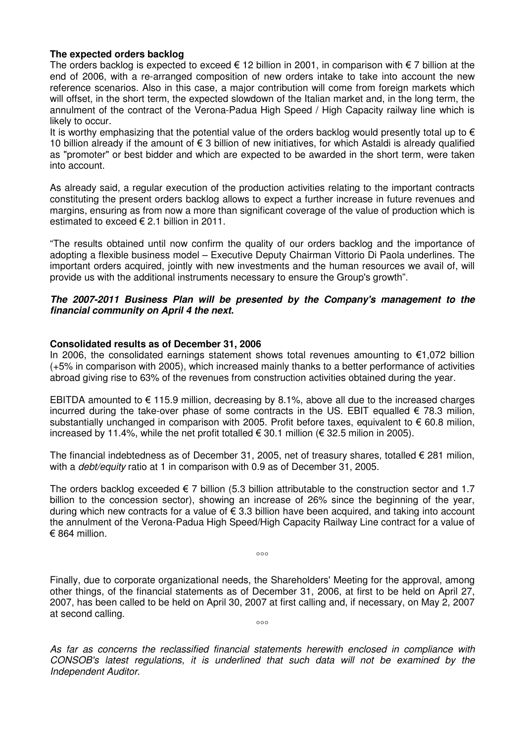#### **The expected orders backlog**

The orders backlog is expected to exceed  $\epsilon$  12 billion in 2001, in comparison with  $\epsilon$  7 billion at the end of 2006, with a re-arranged composition of new orders intake to take into account the new reference scenarios. Also in this case, a major contribution will come from foreign markets which will offset, in the short term, the expected slowdown of the Italian market and, in the long term, the annulment of the contract of the Verona-Padua High Speed / High Capacity railway line which is likely to occur.

It is worthy emphasizing that the potential value of the orders backlog would presently total up to  $\epsilon$ 10 billion already if the amount of € 3 billion of new initiatives, for which Astaldi is already qualified as "promoter" or best bidder and which are expected to be awarded in the short term, were taken into account.

As already said, a regular execution of the production activities relating to the important contracts constituting the present orders backlog allows to expect a further increase in future revenues and margins, ensuring as from now a more than significant coverage of the value of production which is estimated to exceed € 2.1 billion in 2011.

"The results obtained until now confirm the quality of our orders backlog and the importance of adopting a flexible business model – Executive Deputy Chairman Vittorio Di Paola underlines. The important orders acquired, jointly with new investments and the human resources we avail of, will provide us with the additional instruments necessary to ensure the Group's growth".

#### **The 2007-2011 Business Plan will be presented by the Company's management to the financial community on April 4 the next.**

#### **Consolidated results as of December 31, 2006**

In 2006, the consolidated earnings statement shows total revenues amounting to €1,072 billion (+5% in comparison with 2005), which increased mainly thanks to a better performance of activities abroad giving rise to 63% of the revenues from construction activities obtained during the year.

EBITDA amounted to  $\epsilon$  115.9 million, decreasing by 8.1%, above all due to the increased charges incurred during the take-over phase of some contracts in the US. EBIT equalled  $\epsilon$  78.3 milion, substantially unchanged in comparison with 2005. Profit before taxes, equivalent to  $\epsilon$  60.8 milion, increased by 11.4%, while the net profit totalled  $\epsilon$  30.1 million ( $\epsilon$  32.5 milion in 2005).

The financial indebtedness as of December 31, 2005, net of treasury shares, totalled € 281 milion, with a *debt/equity* ratio at 1 in comparison with 0.9 as of December 31, 2005.

The orders backlog exceeded  $\epsilon$  7 billion (5.3 billion attributable to the construction sector and 1.7 billion to the concession sector), showing an increase of 26% since the beginning of the year, during which new contracts for a value of  $\epsilon$  3.3 billion have been acquired, and taking into account the annulment of the Verona-Padua High Speed/High Capacity Railway Line contract for a value of € 864 million.

 $000$ 

Finally, due to corporate organizational needs, the Shareholders' Meeting for the approval, among other things, of the financial statements as of December 31, 2006, at first to be held on April 27, 2007, has been called to be held on April 30, 2007 at first calling and, if necessary, on May 2, 2007 at second calling.  $\overline{\phantom{0}}\phantom{0}\cdots$ 

As far as concerns the reclassified financial statements herewith enclosed in compliance with CONSOB's latest regulations, it is underlined that such data will not be examined by the Independent Auditor.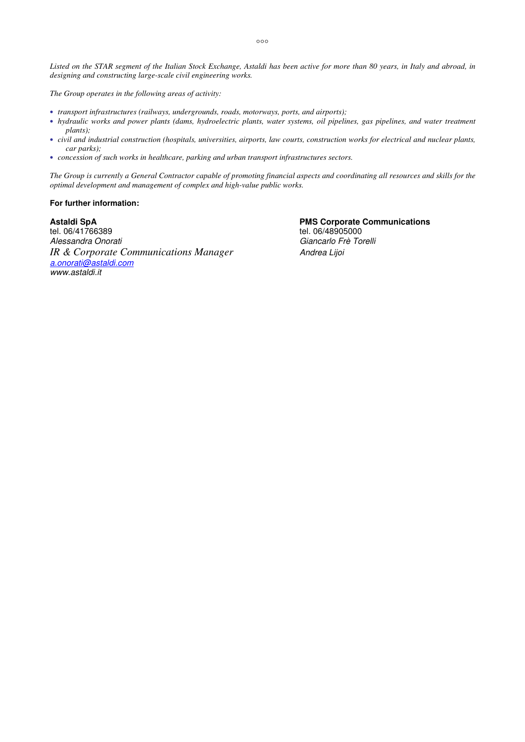*Listed on the STAR segment of the Italian Stock Exchange, Astaldi has been active for more than 80 years, in Italy and abroad, in designing and constructing large-scale civil engineering works.* 

*The Group operates in the following areas of activity:* 

- *transport infrastructures (railways, undergrounds, roads, motorways, ports, and airports);*
- *hydraulic works and power plants (dams, hydroelectric plants, water systems, oil pipelines, gas pipelines, and water treatment plants);*
- *civil and industrial construction (hospitals, universities, airports, law courts, construction works for electrical and nuclear plants, car parks);*
- *concession of such works in healthcare, parking and urban transport infrastructures sectors.*

*The Group is currently a General Contractor capable of promoting financial aspects and coordinating all resources and skills for the optimal development and management of complex and high-value public works.* 

#### **For further information:**

**Astaldi SpA PMS Corporate Communications**<br>tel. 06/41766389 **PMS Corporate Communications** tel. 06/41766389 tel. 06/48905000<br>Alessandra Onorati del telectronic del telectronic del telectronic del telectronic del telectronic del telectr<br>Giancarlo Frè To *IR & Corporate Communications Manager* Andrea Lijoi a.onorati@astaldi.com www.astaldi.it

Giancarlo Frè Torelli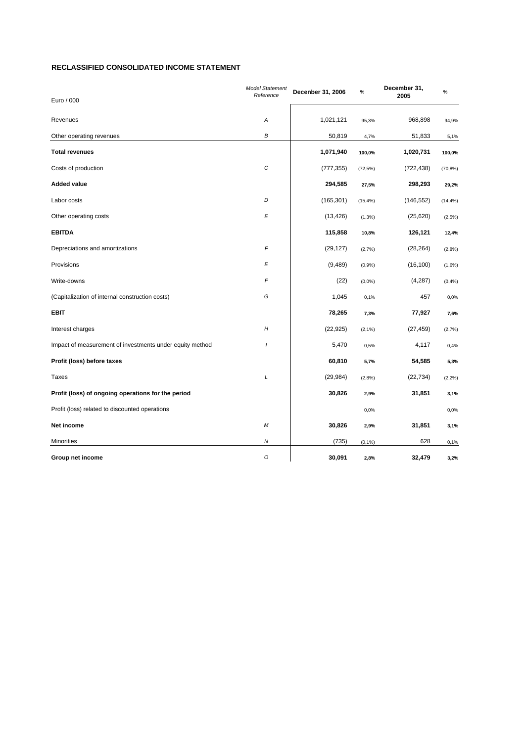#### **RECLASSIFIED CONSOLIDATED INCOME STATEMENT**

| Euro / 000                                               | <b>Model Statement</b><br>Reference | Decenber 31, 2006 | $\%$        | December 31,<br>2005 | $\%$        |
|----------------------------------------------------------|-------------------------------------|-------------------|-------------|----------------------|-------------|
| Revenues                                                 | Α                                   | 1,021,121         | 95,3%       | 968,898              | 94,9%       |
| Other operating revenues                                 | B                                   | 50,819            | 4,7%        | 51,833               | 5,1%        |
| <b>Total revenues</b>                                    |                                     | 1,071,940         | 100,0%      | 1,020,731            | 100,0%      |
| Costs of production                                      | $\boldsymbol{C}$                    | (777, 355)        | $(72, 5\%)$ | (722, 438)           | $(70, 8\%)$ |
| <b>Added value</b>                                       |                                     | 294,585           | 27,5%       | 298,293              | 29,2%       |
| Labor costs                                              | D                                   | (165, 301)        | $(15, 4\%)$ | (146, 552)           | $(14, 4\%)$ |
| Other operating costs                                    | E                                   | (13, 426)         | $(1, 3\%)$  | (25, 620)            | (2,5%)      |
| <b>EBITDA</b>                                            |                                     | 115,858           | 10,8%       | 126,121              | 12,4%       |
| Depreciations and amortizations                          | F                                   | (29, 127)         | (2,7%)      | (28, 264)            | (2,8%)      |
| Provisions                                               | Е                                   | (9, 489)          | (0,9%       | (16, 100)            | (1,6%)      |
| Write-downs                                              | F                                   | (22)              | $(0,0\%)$   | (4,287)              | (0,4% )     |
| (Capitalization of internal construction costs)          | G                                   | 1,045             | 0,1%        | 457                  | 0,0%        |
| EBIT                                                     |                                     | 78,265            | 7,3%        | 77,927               | 7,6%        |
| Interest charges                                         | H                                   | (22, 925)         | $(2, 1\%)$  | (27, 459)            | (2,7%)      |
| Impact of measurement of investments under equity method | $\prime$                            | 5,470             | 0,5%        | 4,117                | 0,4%        |
| Profit (loss) before taxes                               |                                     | 60,810            | 5,7%        | 54,585               | 5,3%        |
| <b>Taxes</b>                                             | L                                   | (29, 984)         | (2,8%)      | (22, 734)            | $(2, 2\%)$  |
| Profit (loss) of ongoing operations for the period       |                                     | 30,826            | 2,9%        | 31,851               | 3,1%        |
| Profit (loss) related to discounted operations           |                                     |                   | 0,0%        |                      | 0,0%        |
| Net income                                               | М                                   | 30,826            | 2,9%        | 31,851               | 3,1%        |
| Minorities                                               | Ν                                   | (735)             | $(0, 1\%)$  | 628                  | 0,1%        |
| Group net income                                         | O                                   | 30,091            | 2,8%        | 32,479               | 3,2%        |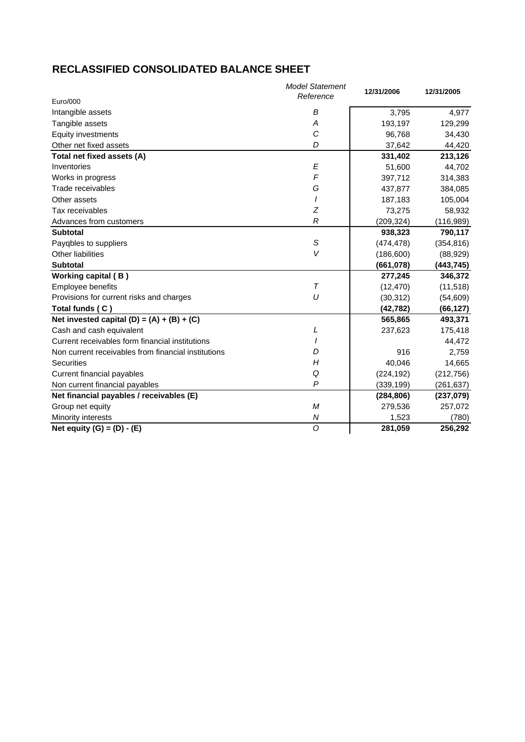## **RECLASSIFIED CONSOLIDATED BALANCE SHEET**

|                                                     | <b>Model Statement</b><br>Reference | 12/31/2006 | 12/31/2005 |
|-----------------------------------------------------|-------------------------------------|------------|------------|
| Euro/000                                            |                                     |            |            |
| Intangible assets                                   | B                                   | 3,795      | 4,977      |
| Tangible assets                                     | Α                                   | 193,197    | 129,299    |
| Equity investments                                  | C                                   | 96,768     | 34,430     |
| Other net fixed assets                              | D                                   | 37,642     | 44,420     |
| Total net fixed assets (A)                          |                                     | 331,402    | 213,126    |
| Inventories                                         | E                                   | 51,600     | 44,702     |
| Works in progress                                   | F                                   | 397,712    | 314,383    |
| Trade receivables                                   | G                                   | 437,877    | 384,085    |
| Other assets                                        |                                     | 187,183    | 105,004    |
| Tax receivables                                     | Z                                   | 73,275     | 58,932     |
| Advances from customers                             | $\mathcal{R}$                       | (209, 324) | (116,989)  |
| <b>Subtotal</b>                                     |                                     | 938,323    | 790,117    |
| Payqbles to suppliers                               | S                                   | (474, 478) | (354, 816) |
| <b>Other liabilities</b>                            | V                                   | (186, 600) | (88, 929)  |
| <b>Subtotal</b>                                     |                                     | (661,078)  | (443, 745) |
| <b>Working capital (B)</b>                          |                                     | 277,245    | 346,372    |
| Employee benefits                                   | $\tau$                              | (12, 470)  | (11, 518)  |
| Provisions for current risks and charges            | U                                   | (30, 312)  | (54, 609)  |
| Total funds (C)                                     |                                     | (42, 782)  | (66, 127)  |
| Net invested capital $(D) = (A) + (B) + (C)$        |                                     | 565,865    | 493,371    |
| Cash and cash equivalent                            | L                                   | 237,623    | 175,418    |
| Current receivables form financial institutions     |                                     |            | 44,472     |
| Non current receivables from financial institutions | D                                   | 916        | 2,759      |
| <b>Securities</b>                                   | H                                   | 40,046     | 14,665     |
| Current financial payables                          | Q                                   | (224, 192) | (212, 756) |
| Non current financial payables                      | P                                   | (339, 199) | (261, 637) |
| Net financial payables / receivables (E)            |                                     | (284, 806) | (237, 079) |
| Group net equity                                    | M                                   | 279,536    | 257,072    |
| Minority interests                                  | Ν                                   | 1,523      | (780)      |
| Net equity $(G) = (D) - (E)$                        | O                                   | 281,059    | 256,292    |